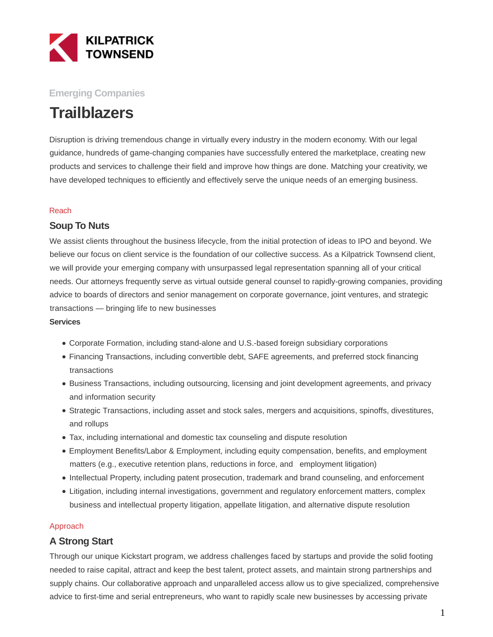

### **Emerging Companies**

# **Trailblazers**

Disruption is driving tremendous change in virtually every industry in the modern economy. With our legal guidance, hundreds of game-changing companies have successfully entered the marketplace, creating new products and services to challenge their field and improve how things are done. Matching your creativity, we have developed techniques to efficiently and effectively serve the unique needs of an emerging business.

#### Reach

#### **Soup To Nuts**

We assist clients throughout the business lifecycle, from the initial protection of ideas to IPO and beyond. We believe our focus on client service is the foundation of our collective success. As a Kilpatrick Townsend client, we will provide your emerging company with unsurpassed legal representation spanning all of your critical needs. Our attorneys frequently serve as virtual outside general counsel to rapidly-growing companies, providing advice to boards of directors and senior management on corporate governance, joint ventures, and strategic transactions — bringing life to new businesses

#### **Services**

- Corporate Formation, including stand-alone and U.S.-based foreign subsidiary corporations
- Financing Transactions, including convertible debt, SAFE agreements, and preferred stock financing transactions
- Business Transactions, including outsourcing, licensing and joint development agreements, and privacy and information security
- Strategic Transactions, including asset and stock sales, mergers and acquisitions, spinoffs, divestitures, and rollups
- Tax, including international and domestic tax counseling and dispute resolution
- Employment Benefits/Labor & Employment, including equity compensation, benefits, and employment matters (e.g., executive retention plans, reductions in force, and employment litigation)
- Intellectual Property, including patent prosecution, trademark and brand counseling, and enforcement
- Litigation, including internal investigations, government and regulatory enforcement matters, complex business and intellectual property litigation, appellate litigation, and alternative dispute resolution

#### Approach

### **A Strong Start**

Through our unique Kickstart program, we address challenges faced by startups and provide the solid footing needed to raise capital, attract and keep the best talent, protect assets, and maintain strong partnerships and supply chains. Our collaborative approach and unparalleled access allow us to give specialized, comprehensive advice to first-time and serial entrepreneurs, who want to rapidly scale new businesses by accessing private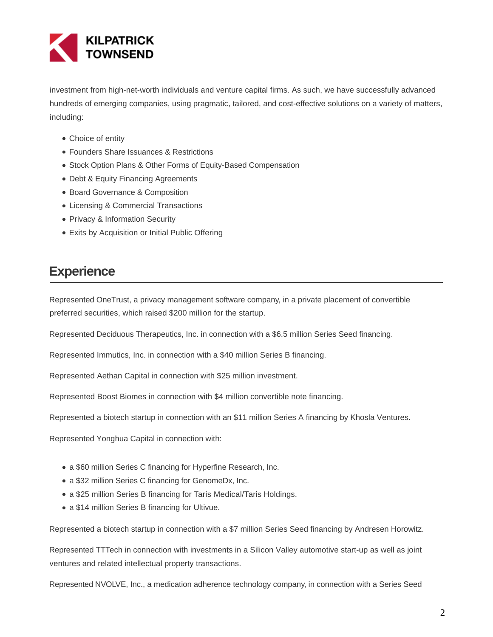

investment from high-net-worth individuals and venture capital firms. As such, we have successfully advanced hundreds of emerging companies, using pragmatic, tailored, and cost-effective solutions on a variety of matters, including:

- Choice of entity
- Founders Share Issuances & Restrictions
- **Stock Option Plans & Other Forms of Equity-Based Compensation**
- Debt & Equity Financing Agreements
- Board Governance & Composition
- Licensing & Commercial Transactions
- Privacy & Information Security
- Exits by Acquisition or Initial Public Offering

## **Experience**

Represented OneTrust, a privacy management software company, in a private placement of convertible preferred securities, which raised \$200 million for the startup.

Represented Deciduous Therapeutics, Inc. in connection with a \$6.5 million Series Seed financing.

Represented Immutics, Inc. in connection with a \$40 million Series B financing.

Represented Aethan Capital in connection with \$25 million investment.

Represented Boost Biomes in connection with \$4 million convertible note financing.

Represented a biotech startup in connection with an \$11 million Series A financing by Khosla Ventures.

Represented Yonghua Capital in connection with:

- a \$60 million Series C financing for Hyperfine Research, Inc.
- a \$32 million Series C financing for GenomeDx, Inc.
- a \$25 million Series B financing for Taris Medical/Taris Holdings.
- a \$14 million Series B financing for Ultivue.

Represented a biotech startup in connection with a \$7 million Series Seed financing by Andresen Horowitz.

Represented TTTech in connection with investments in a Silicon Valley automotive start-up as well as joint ventures and related intellectual property transactions.

Represented NVOLVE, Inc., a medication adherence technology company, in connection with a Series Seed